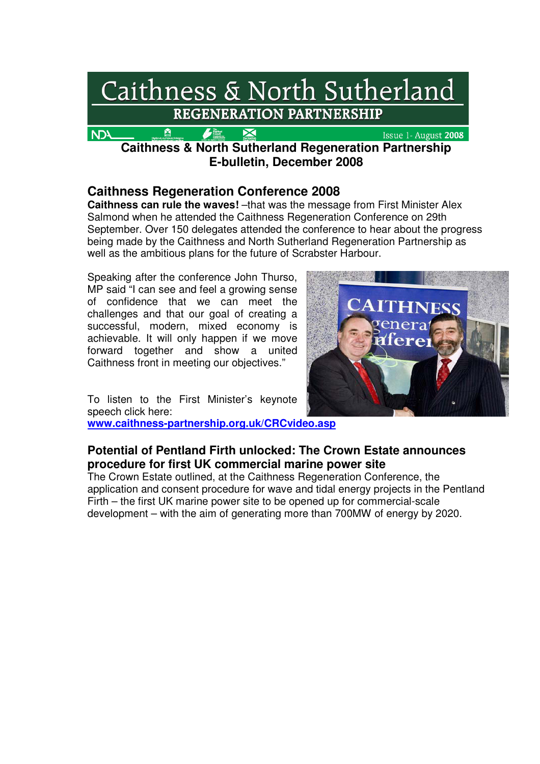

**Caithness & North Sutherland Regeneration Partnership E-bulletin, December 2008** 

# **Caithness Regeneration Conference 2008**

**Caithness can rule the waves!** –that was the message from First Minister Alex Salmond when he attended the Caithness Regeneration Conference on 29th September. Over 150 delegates attended the conference to hear about the progress being made by the Caithness and North Sutherland Regeneration Partnership as well as the ambitious plans for the future of Scrabster Harbour.

Speaking after the conference John Thurso, MP said "I can see and feel a growing sense of confidence that we can meet the challenges and that our goal of creating a successful, modern, mixed economy is achievable. It will only happen if we move forward together and show a united Caithness front in meeting our objectives."



To listen to the First Minister's keynote speech click here: **www.caithness-partnership.org.uk/CRCvideo.asp**

# **Potential of Pentland Firth unlocked: The Crown Estate announces procedure for first UK commercial marine power site**

The Crown Estate outlined, at the Caithness Regeneration Conference, the application and consent procedure for wave and tidal energy projects in the Pentland Firth – the first UK marine power site to be opened up for commercial-scale development – with the aim of generating more than 700MW of energy by 2020.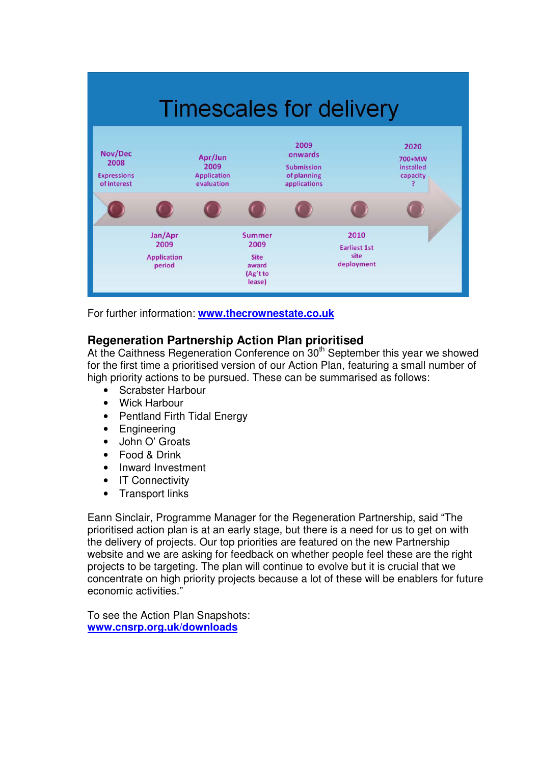

For further information: **www.thecrownestate.co.uk**

# **Regeneration Partnership Action Plan prioritised**

At the Caithness Regeneration Conference on 30<sup>th</sup> September this year we showed for the first time a prioritised version of our Action Plan, featuring a small number of high priority actions to be pursued. These can be summarised as follows:

- Scrabster Harbour
- Wick Harbour
- Pentland Firth Tidal Energy
- **Engineering**
- John O' Groats
- Food & Drink
- Inward Investment
- IT Connectivity
- Transport links

Eann Sinclair, Programme Manager for the Regeneration Partnership, said "The prioritised action plan is at an early stage, but there is a need for us to get on with the delivery of projects. Our top priorities are featured on the new Partnership website and we are asking for feedback on whether people feel these are the right projects to be targeting. The plan will continue to evolve but it is crucial that we concentrate on high priority projects because a lot of these will be enablers for future economic activities."

To see the Action Plan Snapshots: **www.cnsrp.org.uk/downloads**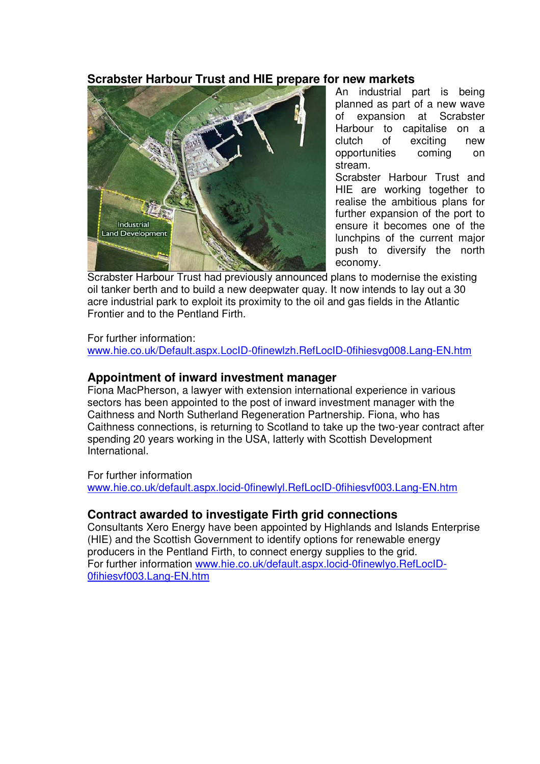#### **Scrabster Harbour Trust and HIE prepare for new markets**



An industrial part is being planned as part of a new wave of expansion at Scrabster Harbour to capitalise on a clutch of exciting new opportunities coming on stream.

Scrabster Harbour Trust and HIE are working together to realise the ambitious plans for further expansion of the port to ensure it becomes one of the lunchpins of the current major push to diversify the north economy.

Scrabster Harbour Trust had previously announced plans to modernise the existing oil tanker berth and to build a new deepwater quay. It now intends to lay out a 30 acre industrial park to exploit its proximity to the oil and gas fields in the Atlantic Frontier and to the Pentland Firth.

#### For further information:

www.hie.co.uk/Default.aspx.LocID-0finewlzh.RefLocID-0fihiesvg008.Lang-EN.htm

#### **Appointment of inward investment manager**

Fiona MacPherson, a lawyer with extension international experience in various sectors has been appointed to the post of inward investment manager with the Caithness and North Sutherland Regeneration Partnership. Fiona, who has Caithness connections, is returning to Scotland to take up the two-year contract after spending 20 years working in the USA, latterly with Scottish Development International.

For further information www.hie.co.uk/default.aspx.locid-0finewlyl.RefLocID-0fihiesvf003.Lang-EN.htm

## **Contract awarded to investigate Firth grid connections**

Consultants Xero Energy have been appointed by Highlands and Islands Enterprise (HIE) and the Scottish Government to identify options for renewable energy producers in the Pentland Firth, to connect energy supplies to the grid. For further information www.hie.co.uk/default.aspx.locid-0finewlyo.RefLocID-0fihiesvf003.Lang-EN.htm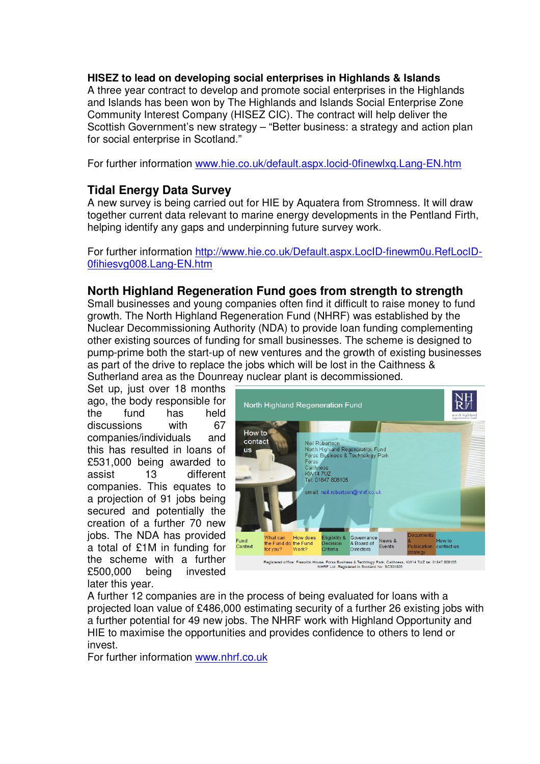#### **HISEZ to lead on developing social enterprises in Highlands & Islands**

A three year contract to develop and promote social enterprises in the Highlands and Islands has been won by The Highlands and Islands Social Enterprise Zone Community Interest Company (HISEZ CIC). The contract will help deliver the Scottish Government's new strategy – "Better business: a strategy and action plan for social enterprise in Scotland."

For further information www.hie.co.uk/default.aspx.locid-0finewlxq.Lang-EN.htm

## **Tidal Energy Data Survey**

A new survey is being carried out for HIE by Aquatera from Stromness. It will draw together current data relevant to marine energy developments in the Pentland Firth, helping identify any gaps and underpinning future survey work.

For further information http://www.hie.co.uk/Default.aspx.LocID-finewm0u.RefLocID-0fihiesvg008.Lang-EN.htm

#### **North Highland Regeneration Fund goes from strength to strength**

Small businesses and young companies often find it difficult to raise money to fund growth. The North Highland Regeneration Fund (NHRF) was established by the Nuclear Decommissioning Authority (NDA) to provide loan funding complementing other existing sources of funding for small businesses. The scheme is designed to pump-prime both the start-up of new ventures and the growth of existing businesses as part of the drive to replace the jobs which will be lost in the Caithness & Sutherland area as the Dounreay nuclear plant is decommissioned.

Set up, just over 18 months ago, the body responsible for the fund has held discussions with 67 companies/individuals and this has resulted in loans of £531,000 being awarded to assist 13 different companies. This equates to a projection of 91 jobs being secured and potentially the creation of a further 70 new jobs. The NDA has provided a total of £1M in funding for the scheme with a further £500,000 being invested later this year.



A further 12 companies are in the process of being evaluated for loans with a projected loan value of £486,000 estimating security of a further 26 existing jobs with a further potential for 49 new jobs. The NHRF work with Highland Opportunity and HIE to maximise the opportunities and provides confidence to others to lend or invest.

For further information www.nhrf.co.uk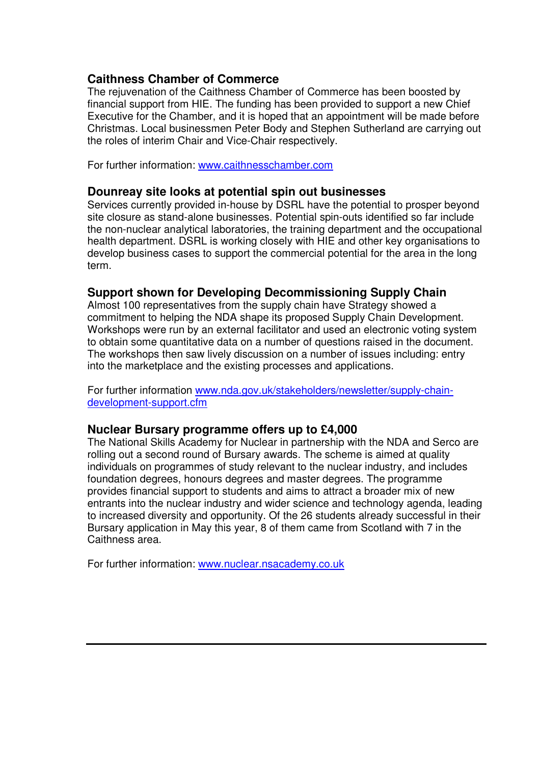## **Caithness Chamber of Commerce**

The rejuvenation of the Caithness Chamber of Commerce has been boosted by financial support from HIE. The funding has been provided to support a new Chief Executive for the Chamber, and it is hoped that an appointment will be made before Christmas. Local businessmen Peter Body and Stephen Sutherland are carrying out the roles of interim Chair and Vice-Chair respectively.

For further information: www.caithnesschamber.com

#### **Dounreay site looks at potential spin out businesses**

Services currently provided in-house by DSRL have the potential to prosper beyond site closure as stand-alone businesses. Potential spin-outs identified so far include the non-nuclear analytical laboratories, the training department and the occupational health department. DSRL is working closely with HIE and other key organisations to develop business cases to support the commercial potential for the area in the long term.

## **Support shown for Developing Decommissioning Supply Chain**

Almost 100 representatives from the supply chain have Strategy showed a commitment to helping the NDA shape its proposed Supply Chain Development. Workshops were run by an external facilitator and used an electronic voting system to obtain some quantitative data on a number of questions raised in the document. The workshops then saw lively discussion on a number of issues including: entry into the marketplace and the existing processes and applications.

For further information www.nda.gov.uk/stakeholders/newsletter/supply-chaindevelopment-support.cfm

#### **Nuclear Bursary programme offers up to £4,000**

The National Skills Academy for Nuclear in partnership with the NDA and Serco are rolling out a second round of Bursary awards. The scheme is aimed at quality individuals on programmes of study relevant to the nuclear industry, and includes foundation degrees, honours degrees and master degrees. The programme provides financial support to students and aims to attract a broader mix of new entrants into the nuclear industry and wider science and technology agenda, leading to increased diversity and opportunity. Of the 26 students already successful in their Bursary application in May this year, 8 of them came from Scotland with 7 in the Caithness area.

For further information: www.nuclear.nsacademy.co.uk